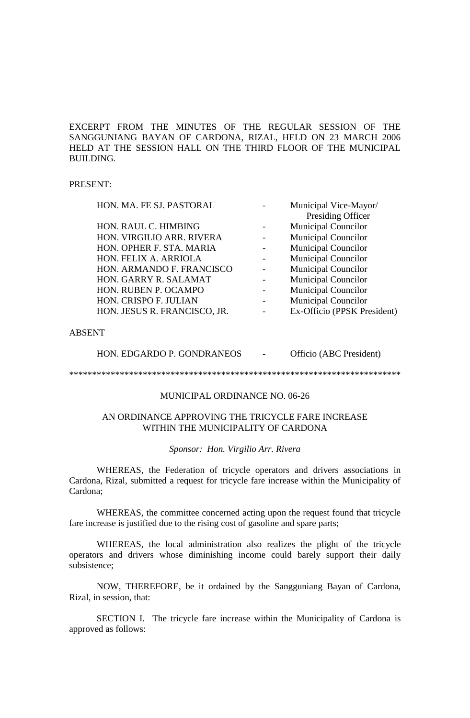EXCERPT FROM THE MINUTES OF THE REGULAR SESSION OF THE SANGGUNIANG BAYAN OF CARDONA, RIZAL, HELD ON 23 MARCH 2006 HELD AT THE SESSION HALL ON THE THIRD FLOOR OF THE MUNICIPAL BUILDING.

#### PRESENT:

| HON. MA. FE SJ. PASTORAL     | Municipal Vice-Mayor/       |
|------------------------------|-----------------------------|
|                              | Presiding Officer           |
| HON. RAUL C. HIMBING         | <b>Municipal Councilor</b>  |
| HON. VIRGILIO ARR. RIVERA    | <b>Municipal Councilor</b>  |
| HON. OPHER F. STA. MARIA     | <b>Municipal Councilor</b>  |
| HON. FELIX A. ARRIOLA        | <b>Municipal Councilor</b>  |
| HON. ARMANDO F. FRANCISCO    | <b>Municipal Councilor</b>  |
| HON. GARRY R. SALAMAT        | <b>Municipal Councilor</b>  |
| HON. RUBEN P. OCAMPO         | <b>Municipal Councilor</b>  |
| HON. CRISPO F. JULIAN        | <b>Municipal Councilor</b>  |
| HON. JESUS R. FRANCISCO, JR. | Ex-Officio (PPSK President) |
|                              |                             |

## ABSENT

HON. EDGARDO P. GONDRANEOS - Officio (ABC President)

\*\*\*\*\*\*\*\*\*\*\*\*\*\*\*\*\*\*\*\*\*\*\*\*\*\*\*\*\*\*\*\*\*\*\*\*\*\*\*\*\*\*\*\*\*\*\*\*\*\*\*\*\*\*\*\*\*\*\*\*\*\*\*\*\*\*\*\*\*\*\*\*

### MUNICIPAL ORDINANCE NO. 06-26

## AN ORDINANCE APPROVING THE TRICYCLE FARE INCREASE WITHIN THE MUNICIPALITY OF CARDONA

#### *Sponsor: Hon. Virgilio Arr. Rivera*

WHEREAS, the Federation of tricycle operators and drivers associations in Cardona, Rizal, submitted a request for tricycle fare increase within the Municipality of Cardona;

WHEREAS, the committee concerned acting upon the request found that tricycle fare increase is justified due to the rising cost of gasoline and spare parts;

WHEREAS, the local administration also realizes the plight of the tricycle operators and drivers whose diminishing income could barely support their daily subsistence;

NOW, THEREFORE, be it ordained by the Sangguniang Bayan of Cardona, Rizal, in session, that:

SECTION I. The tricycle fare increase within the Municipality of Cardona is approved as follows: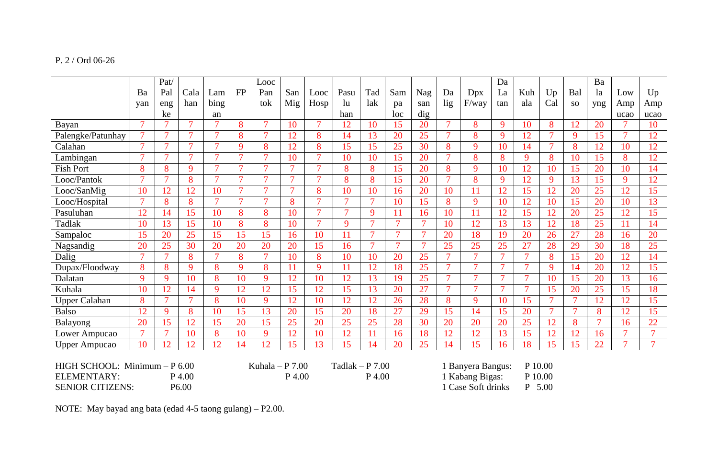# P. 2 / Ord 06-26

|                                  |                | Pat/           |                |                                        |                | Looc           |                |                |                    |                |                        |                 |                 |                | Da             |                |                |                | Ba             |                |        |
|----------------------------------|----------------|----------------|----------------|----------------------------------------|----------------|----------------|----------------|----------------|--------------------|----------------|------------------------|-----------------|-----------------|----------------|----------------|----------------|----------------|----------------|----------------|----------------|--------|
|                                  | Ba             | Pal            | Cala           | Lam                                    | <b>FP</b>      | Pan            | San            | Looc           | Pasu               | Tad            | Sam                    | Nag             | Da              | Dpx            | La             | Kuh            | Up             | Bal            | la             | Low            | Up     |
|                                  | yan            | eng            | han            | bing                                   |                | tok            | Mig            | Hosp           | $\ln$              | lak            | pa                     | san             | lig             | F/way          | tan            | ala            | Cal            | <b>SO</b>      | yng            | Amp            | Amp    |
|                                  |                | ke             |                | an                                     |                |                |                |                | han                |                | loc                    | dig             |                 |                |                |                |                |                |                | ucao           | ucao   |
| Bayan                            | $\overline{7}$ |                | $\overline{7}$ | $\tau$                                 | 8              | $\tau$         | 10             | $\overline{7}$ | 12                 | 10             | 15                     | 20              | $\tau$          | 8              | 9              | 10             | 8              | 12             | 20             |                | 10     |
| Palengke/Patunhay                | $\overline{7}$ | $\overline{7}$ | $\overline{7}$ | $\overline{7}$                         | 8              | $\overline{7}$ | 12             | 8              | 14                 | 13             | 20                     | $\overline{25}$ | $\overline{7}$  | 8              | 9              | 12             | $\overline{7}$ | 9              | 15             | $\overline{7}$ | 12     |
| Calahan                          | $\tau$         | $\tau$         | $\overline{7}$ | $\overline{7}$                         | 9              | 8              | 12             | 8              | 15                 | 15             | 25                     | 30              | 8               | 9              | 10             | 14             | $\overline{7}$ | 8              | 12             | 10             | 12     |
| Lambingan                        | $\overline{7}$ | $\overline{ }$ | $\mathbf{z}$   | $\overline{7}$                         | $\mathbf{z}$   | $\overline{7}$ | 10             | $\overline{7}$ | 10                 | 10             | 15                     | 20              | $\overline{7}$  | 8              | 8              | 9              | 8              | 10             | 15             | 8              | 12     |
| <b>Fish Port</b>                 | 8              | 8              | 9              | $\overline{7}$                         | $\mathcal{I}$  | $\overline{7}$ | $\overline{7}$ | $\tau$         | 8                  | 8              | 15                     | 20              | 8               | 9              | 10             | 12             | 10             | 15             | 20             | 10             | 14     |
| Looc/Pantok                      | $\overline{7}$ | $\overline{7}$ | 8              | $\overline{7}$                         | $\overline{7}$ | $\overline{7}$ | $\overline{7}$ | $\overline{7}$ | 8                  | 8              | 15                     | 20              | $\overline{7}$  | 8              | 9              | 12             | 9              | 13             | 15             | 9              | 12     |
| Looc/SanMig                      | 10             | 12             | 12             | 10                                     | $\mathcal{I}$  | $\tau$         | $\tau$         | 8              | 10                 | 10             | 16                     | 20              | 10              | 11             | 12             | 15             | 12             | 20             | 25             | 12             | 15     |
| Looc/Hospital                    | $\overline{7}$ | 8              | 8              | $\overline{7}$                         | $\overline{7}$ | $\overline{7}$ | 8              | $\overline{7}$ | $\tau$             | $\tau$         | 10                     | 15              | 8               | 9              | 10             | 12             | 10             | 15             | 20             | 10             | 13     |
| Pasuluhan                        | 12             | 14             | 15             | 10                                     | 8              | 8              | 10             | $\overline{7}$ | $\mathcal{I}$      | $\mathbf Q$    | 11                     | 16              | 10              | 11             | 12             | 15             | 12             | 20             | 25             | 12             | 15     |
| Tadlak                           | 10             | 13             | 15             | 10                                     | 8              | 8              | 10             | $\overline{7}$ | $\mathbf{Q}$       | $\overline{7}$ | $\overline{7}$         | $\overline{7}$  | 10              | 12             | 13             | 13             | 12             | 18             | 25             | 11             | 14     |
| Sampaloc                         | 15             | 20             | 25             | 15                                     | 15             | 15             | 16             | 10             | 11                 | $\overline{7}$ | $\overline{7}$         | $\tau$          | 20              | 18             | 19             | 20             | 26             | 27             | 28             | 16             | 20     |
| Nagsandig                        | 20             | 25             | 30             | 20                                     | 20             | 20             | 20             | 15             | 16                 | $\overline{7}$ | $\overline{7}$         | $\overline{7}$  | 25              | 25             | 25             | 27             | 28             | 29             | 30             | 18             | 25     |
| Dalig                            | $\overline{7}$ | $\tau$         | 8              | $\overline{7}$                         | 8              | $\overline{7}$ | 10             | 8              | 10                 | 10             | 20                     | 25              | $\overline{7}$  | $\overline{7}$ | $\overline{7}$ | $\overline{7}$ | 8              | 15             | 20             | 12             | 14     |
| Dupax/Floodway                   | 8              | 8              | 9              | 8                                      | 9              | 8              | 11             | 9              | 11                 | 12             | 18                     | 25              | $\overline{7}$  | $\overline{7}$ | $\overline{7}$ | $\overline{7}$ | 9              | 14             | 20             | 12             | 15     |
| Dalatan                          | 9              | 9              | 10             | 8                                      | 10             | 9              | 12             | 10             | 12                 | 13             | 19                     | $\overline{25}$ | $\overline{7}$  | $\overline{7}$ | $\overline{7}$ | $\overline{7}$ | 10             | 15             | 20             | 13             | 16     |
| Kuhala                           | 10             | 12             | 14             | 9                                      | 12             | 12             | 15             | 12             | 15                 | 13             | 20                     | 27              | $\overline{7}$  | $\overline{7}$ | $\overline{7}$ | $\overline{7}$ | 15             | 20             | 25             | 15             | 18     |
| <b>Upper Calahan</b>             | 8              | $\overline{7}$ | $\overline{7}$ | 8                                      | 10             | 9              | 12             | 10             | 12                 | 12             | 26                     | 28              | 8               | 9              | 10             | 15             | $\overline{7}$ | $\overline{7}$ | 12             | 12             | 15     |
| <b>Balso</b>                     | 12             | 9              | 8              | 10                                     | 15             | 13             | 20             | 15             | 20                 | 18             | 27                     | 29              | 15              | 14             | 15             | 20             | $\overline{7}$ | $\overline{7}$ | 8              | 12             | 15     |
| Balayong                         | 20             | 15             | 12             | 15                                     | 20             | 15             | 25             | 20             | 25                 | 25             | 28                     | 30              | 20              | 20             | 20             | 25             | 12             | 8              | $\overline{7}$ | 16             | 22     |
| Lower Ampucao                    | $\overline{7}$ | $\overline{7}$ | 10             | 8                                      | 10             | 9              | 12             | 10             | 12                 | 11             | 16                     | 18              | 12              | 12             | 13             | 15             | 12             | 12             | 16             | $\overline{7}$ | $\tau$ |
| <b>Upper Ampucao</b>             | 10             | 12             | 12             | 12                                     | 14             | 12             | 15             | 13             | 15                 | 14             | 20                     | 25              | 14              | 15             | 16             | 18             | 15             | 15             | 22             | $\tau$         | $\tau$ |
|                                  |                |                |                |                                        |                |                |                |                |                    |                |                        |                 |                 |                |                |                |                |                |                |                |        |
| HIGH SCHOOL: Minimum - P 6.00    |                |                |                | Kuhala - P $7.00$<br>Tadlak - P $7.00$ |                |                |                |                |                    |                | <b>Banyera Bangus:</b> |                 |                 | P 10.00        |                |                |                |                |                |                |        |
| ELEMENTARY:                      |                |                | P 4.00         | P 4.00                                 |                |                |                | P 4.00         |                    |                |                        |                 | 1 Kabang Bigas: |                |                | P 10.00        |                |                |                |                |        |
| <b>SENIOR CITIZENS:</b><br>P6.00 |                |                |                |                                        |                |                |                |                | 1 Case Soft drinks |                | P                      | 5.00            |                 |                |                |                |                |                |                |                |        |

NOTE: May bayad ang bata (edad 4-5 taong gulang) – P2.00.